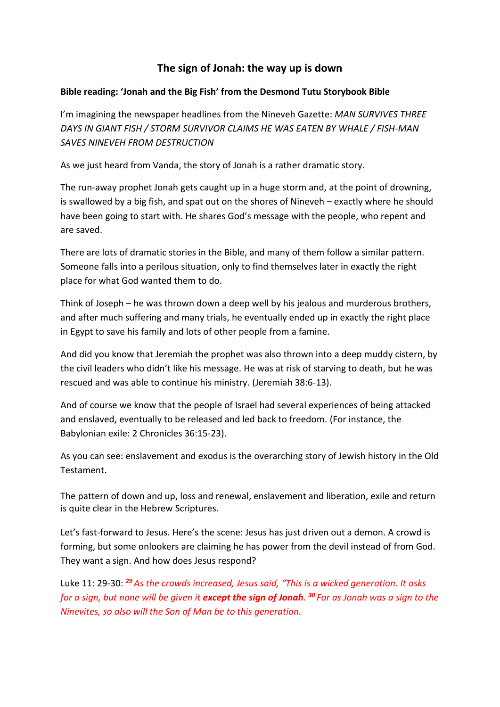## **The sign of Jonah: the way up is down**

## **Bible reading: 'Jonah and the Big Fish' from the Desmond Tutu Storybook Bible**

I'm imagining the newspaper headlines from the Nineveh Gazette: *MAN SURVIVES THREE DAYS IN GIANT FISH / STORM SURVIVOR CLAIMS HE WAS EATEN BY WHALE / FISH-MAN SAVES NINEVEH FROM DESTRUCTION*

As we just heard from Vanda, the story of Jonah is a rather dramatic story.

The run-away prophet Jonah gets caught up in a huge storm and, at the point of drowning, is swallowed by a big fish, and spat out on the shores of Nineveh – exactly where he should have been going to start with. He shares God's message with the people, who repent and are saved.

There are lots of dramatic stories in the Bible, and many of them follow a similar pattern. Someone falls into a perilous situation, only to find themselves later in exactly the right place for what God wanted them to do.

Think of Joseph – he was thrown down a deep well by his jealous and murderous brothers, and after much suffering and many trials, he eventually ended up in exactly the right place in Egypt to save his family and lots of other people from a famine.

And did you know that Jeremiah the prophet was also thrown into a deep muddy cistern, by the civil leaders who didn't like his message. He was at risk of starving to death, but he was rescued and was able to continue his ministry. (Jeremiah 38:6-13).

And of course we know that the people of Israel had several experiences of being attacked and enslaved, eventually to be released and led back to freedom. (For instance, the Babylonian exile: 2 Chronicles 36:15-23).

As you can see: enslavement and exodus is the overarching story of Jewish history in the Old Testament.

The pattern of down and up, loss and renewal, enslavement and liberation, exile and return is quite clear in the Hebrew Scriptures.

Let's fast-forward to Jesus. Here's the scene: Jesus has just driven out a demon. A crowd is forming, but some onlookers are claiming he has power from the devil instead of from God. They want a sign. And how does Jesus respond?

Luke 11: 29-30: *<sup>29</sup> As the crowds increased, Jesus said, "This is a wicked generation. It asks for a sign, but none will be given it except the sign of Jonah. <sup>30</sup> For as Jonah was a sign to the Ninevites, so also will the Son of Man be to this generation.*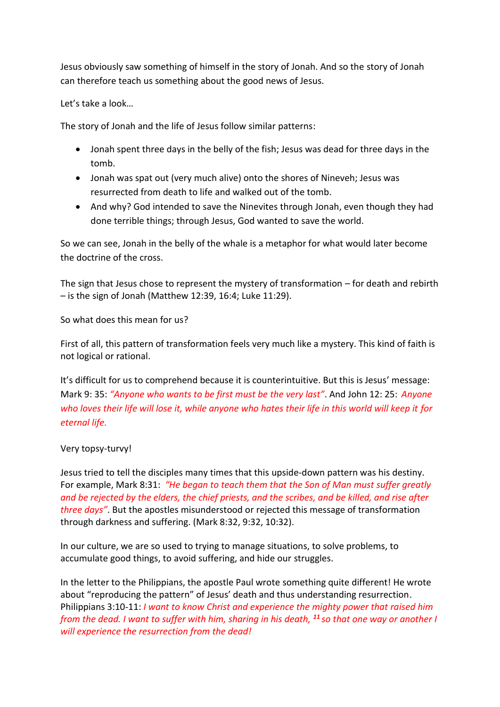Jesus obviously saw something of himself in the story of Jonah. And so the story of Jonah can therefore teach us something about the good news of Jesus.

Let's take a look…

The story of Jonah and the life of Jesus follow similar patterns:

- Jonah spent three days in the belly of the fish; Jesus was dead for three days in the tomb.
- Jonah was spat out (very much alive) onto the shores of Nineveh; Jesus was resurrected from death to life and walked out of the tomb.
- And why? God intended to save the Ninevites through Jonah, even though they had done terrible things; through Jesus, God wanted to save the world.

So we can see, Jonah in the belly of the whale is a metaphor for what would later become the doctrine of the cross.

The sign that Jesus chose to represent the mystery of transformation – for death and rebirth – is the sign of Jonah (Matthew 12:39, 16:4; Luke 11:29).

So what does this mean for us?

First of all, this pattern of transformation feels very much like a mystery. This kind of faith is not logical or rational.

It's difficult for us to comprehend because it is counterintuitive. But this is Jesus' message: Mark 9: 35: *"Anyone who wants to be first must be the very last"*. And John 12: 25: *Anyone*  who loves their life will lose it, while anyone who hates their life in this world will keep it for *eternal life.*

## Very topsy-turvy!

Jesus tried to tell the disciples many times that this upside-down pattern was his destiny. For example, Mark 8:31: *"He began to teach them that the Son of Man must suffer greatly and be rejected by the elders, the chief priests, and the scribes, and be killed, and rise after three days"*. But the apostles misunderstood or rejected this message of transformation through darkness and suffering. (Mark 8:32, 9:32, 10:32).

In our culture, we are so used to trying to manage situations, to solve problems, to accumulate good things, to avoid suffering, and hide our struggles.

In the letter to the Philippians, the apostle Paul wrote something quite different! He wrote about "reproducing the pattern" of Jesus' death and thus understanding resurrection. Philippians 3:10-11: *I want to know Christ and experience the mighty power that raised him from the dead. I want to suffer with him, sharing in his death, <sup>11</sup> so that one way or another I will experience the resurrection from the dead!*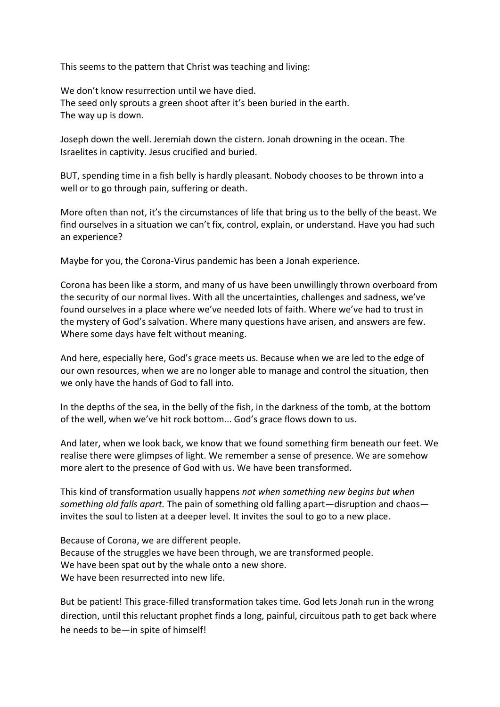This seems to the pattern that Christ was teaching and living:

We don't know resurrection until we have died. The seed only sprouts a green shoot after it's been buried in the earth. The way up is down.

Joseph down the well. Jeremiah down the cistern. Jonah drowning in the ocean. The Israelites in captivity. Jesus crucified and buried.

BUT, spending time in a fish belly is hardly pleasant. Nobody chooses to be thrown into a well or to go through pain, suffering or death.

More often than not, it's the circumstances of life that bring us to the belly of the beast. We find ourselves in a situation we can't fix, control, explain, or understand. Have you had such an experience?

Maybe for you, the Corona-Virus pandemic has been a Jonah experience.

Corona has been like a storm, and many of us have been unwillingly thrown overboard from the security of our normal lives. With all the uncertainties, challenges and sadness, we've found ourselves in a place where we've needed lots of faith. Where we've had to trust in the mystery of God's salvation. Where many questions have arisen, and answers are few. Where some days have felt without meaning.

And here, especially here, God's grace meets us. Because when we are led to the edge of our own resources, when we are no longer able to manage and control the situation, then we only have the hands of God to fall into.

In the depths of the sea, in the belly of the fish, in the darkness of the tomb, at the bottom of the well, when we've hit rock bottom... God's grace flows down to us.

And later, when we look back, we know that we found something firm beneath our feet. We realise there were glimpses of light. We remember a sense of presence. We are somehow more alert to the presence of God with us. We have been transformed.

This kind of transformation usually happens *not when something new begins but when something old falls apart.* The pain of something old falling apart—disruption and chaos invites the soul to listen at a deeper level. It invites the soul to go to a new place.

Because of Corona, we are different people. Because of the struggles we have been through, we are transformed people. We have been spat out by the whale onto a new shore. We have been resurrected into new life.

But be patient! This grace-filled transformation takes time. God lets Jonah run in the wrong direction, until this reluctant prophet finds a long, painful, circuitous path to get back where he needs to be—in spite of himself!